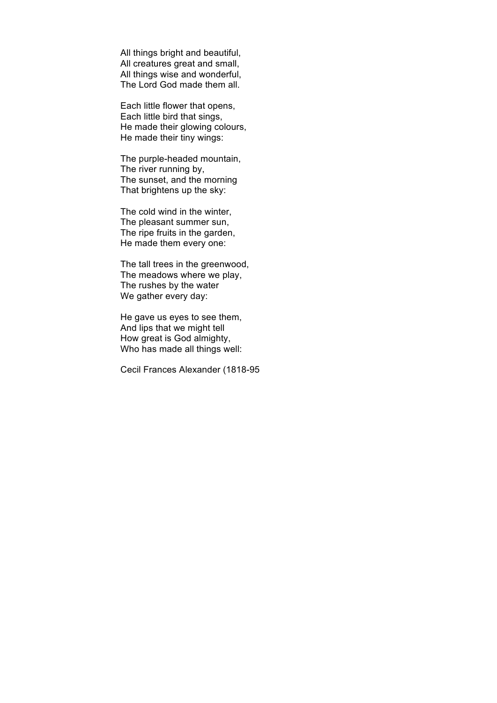All things bright and beautiful, All creatures great and small, All things wise and wonderful, The Lord God made them all.

Each little flower that opens, Each little bird that sings, He made their glowing colours, He made their tiny wings:

The purple-headed mountain, The river running by, The sunset, and the morning That brightens up the sky:

The cold wind in the winter, The pleasant summer sun, The ripe fruits in the garden, He made them every one:

The tall trees in the greenwood, The meadows where we play, The rushes by the water We gather every day:

He gave us eyes to see them, And lips that we might tell How great is God almighty, Who has made all things well:

Cecil Frances Alexander (1818-95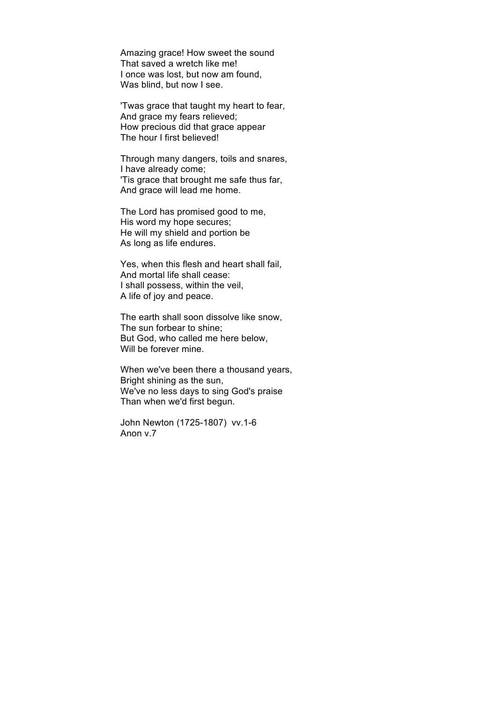Amazing grace! How sweet the sound That saved a wretch like me! I once was lost, but now am found, Was blind, but now I see.

'Twas grace that taught my heart to fear, And grace my fears relieved; How precious did that grace appear The hour I first believed!

Through many dangers, toils and snares, I have already come; 'Tis grace that brought me safe thus far, And grace will lead me home.

The Lord has promised good to me, His word my hope secures; He will my shield and portion be As long as life endures.

Yes, when this flesh and heart shall fail, And mortal life shall cease: I shall possess, within the veil, A life of joy and peace.

The earth shall soon dissolve like snow, The sun forbear to shine; But God, who called me here below, Will be forever mine.

When we've been there a thousand years, Bright shining as the sun, We've no less days to sing God's praise Than when we'd first begun.

John Newton (1725-1807) vv.1-6 Anon v.7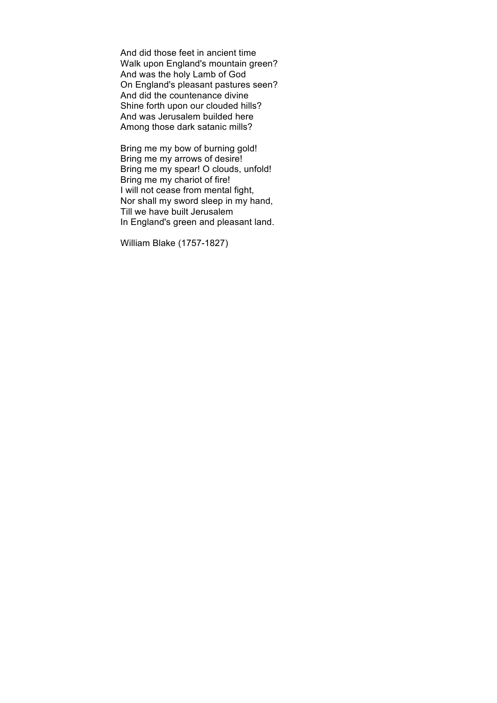And did those feet in ancient time Walk upon England's mountain green? And was the holy Lamb of God On England's pleasant pastures seen? And did the countenance divine Shine forth upon our clouded hills? And was Jerusalem builded here Among those dark satanic mills?

Bring me my bow of burning gold! Bring me my arrows of desire! Bring me my spear! O clouds, unfold! Bring me my chariot of fire! I will not cease from mental fight, Nor shall my sword sleep in my hand, Till we have built Jerusalem In England's green and pleasant land.

William Blake (1757-1827)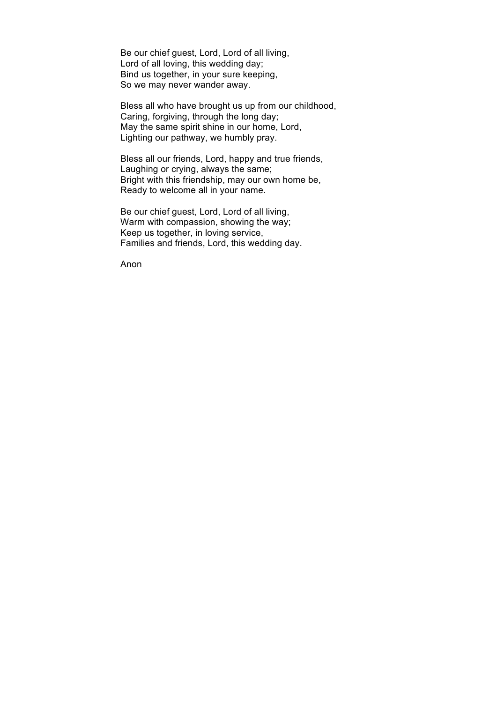Be our chief guest, Lord, Lord of all living, Lord of all loving, this wedding day; Bind us together, in your sure keeping, So we may never wander away.

Bless all who have brought us up from our childhood, Caring, forgiving, through the long day; May the same spirit shine in our home, Lord, Lighting our pathway, we humbly pray.

Bless all our friends, Lord, happy and true friends, Laughing or crying, always the same; Bright with this friendship, may our own home be, Ready to welcome all in your name.

Be our chief guest, Lord, Lord of all living, Warm with compassion, showing the way; Keep us together, in loving service, Families and friends, Lord, this wedding day.

Anon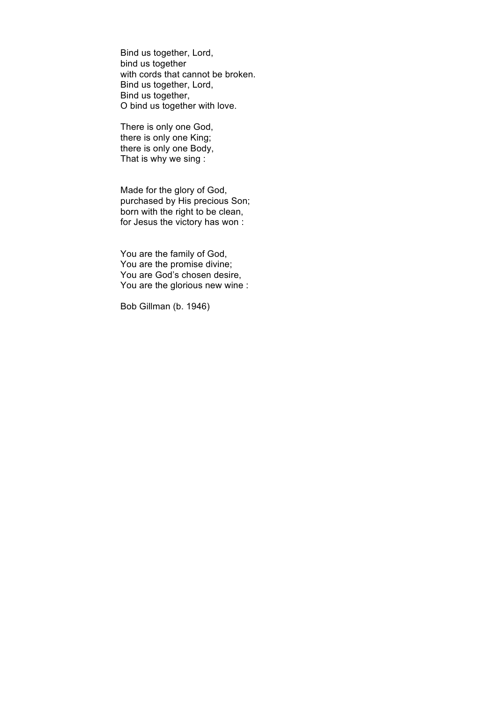Bind us together, Lord, bind us together with cords that cannot be broken. Bind us together, Lord, Bind us together, O bind us together with love.

There is only one God, there is only one King; there is only one Body, That is why we sing :

Made for the glory of God, purchased by His precious Son; born with the right to be clean, for Jesus the victory has won :

You are the family of God, You are the promise divine; You are God's chosen desire, You are the glorious new wine :

Bob Gillman (b. 1946)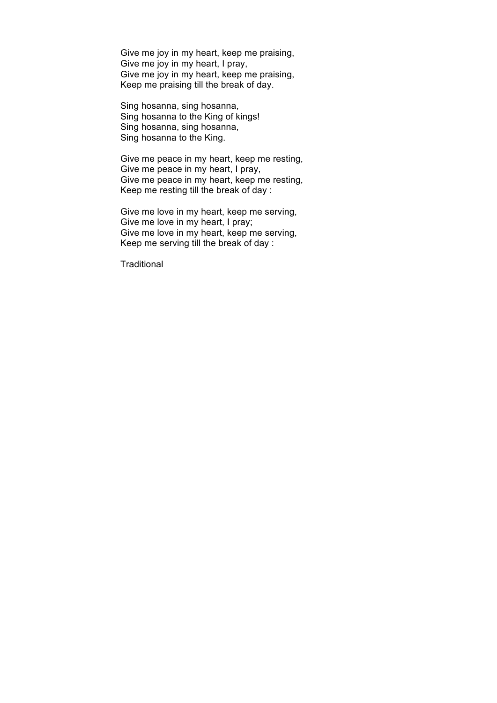Give me joy in my heart, keep me praising, Give me joy in my heart, I pray, Give me joy in my heart, keep me praising, Keep me praising till the break of day.

Sing hosanna, sing hosanna, Sing hosanna to the King of kings! Sing hosanna, sing hosanna, Sing hosanna to the King.

Give me peace in my heart, keep me resting, Give me peace in my heart, I pray, Give me peace in my heart, keep me resting, Keep me resting till the break of day :

Give me love in my heart, keep me serving, Give me love in my heart, I pray; Give me love in my heart, keep me serving, Keep me serving till the break of day :

**Traditional**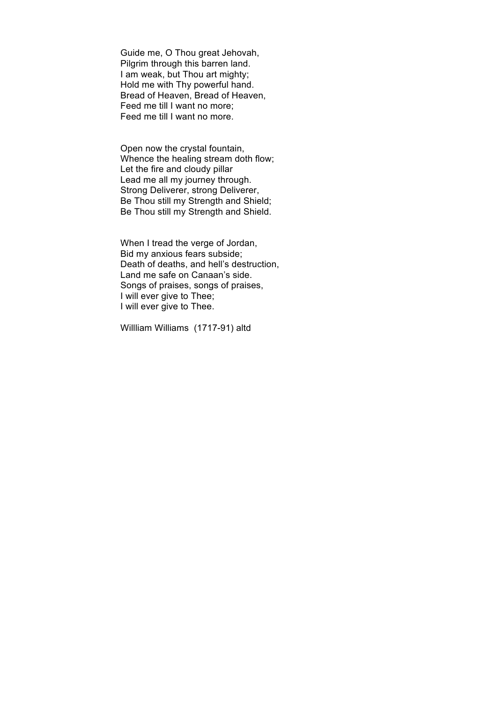Guide me, O Thou great Jehovah, Pilgrim through this barren land. I am weak, but Thou art mighty; Hold me with Thy powerful hand. Bread of Heaven, Bread of Heaven, Feed me till I want no more; Feed me till I want no more.

Open now the crystal fountain, Whence the healing stream doth flow; Let the fire and cloudy pillar Lead me all my journey through. Strong Deliverer, strong Deliverer, Be Thou still my Strength and Shield; Be Thou still my Strength and Shield.

When I tread the verge of Jordan, Bid my anxious fears subside; Death of deaths, and hell's destruction, Land me safe on Canaan's side. Songs of praises, songs of praises, I will ever give to Thee; I will ever give to Thee.

Willliam Williams (1717-91) altd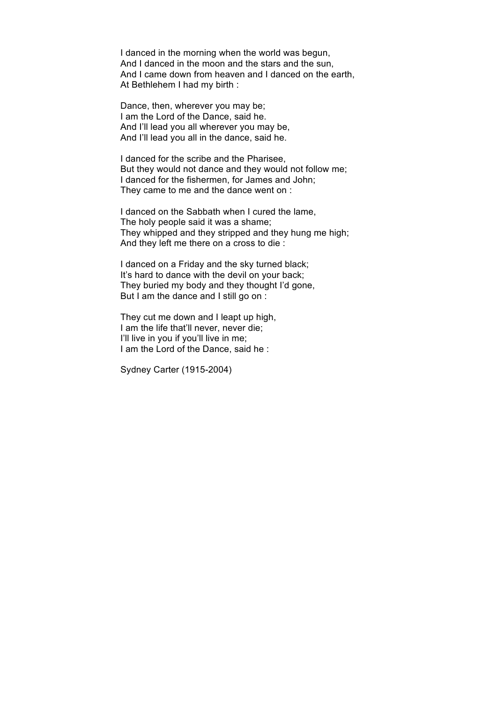I danced in the morning when the world was begun, And I danced in the moon and the stars and the sun, And I came down from heaven and I danced on the earth, At Bethlehem I had my birth :

Dance, then, wherever you may be; I am the Lord of the Dance, said he. And I'll lead you all wherever you may be, And I'll lead you all in the dance, said he.

I danced for the scribe and the Pharisee, But they would not dance and they would not follow me; I danced for the fishermen, for James and John; They came to me and the dance went on :

I danced on the Sabbath when I cured the lame, The holy people said it was a shame; They whipped and they stripped and they hung me high; And they left me there on a cross to die :

I danced on a Friday and the sky turned black; It's hard to dance with the devil on your back; They buried my body and they thought I'd gone, But I am the dance and I still go on :

They cut me down and I leapt up high, I am the life that'll never, never die; I'll live in you if you'll live in me; I am the Lord of the Dance, said he :

Sydney Carter (1915-2004)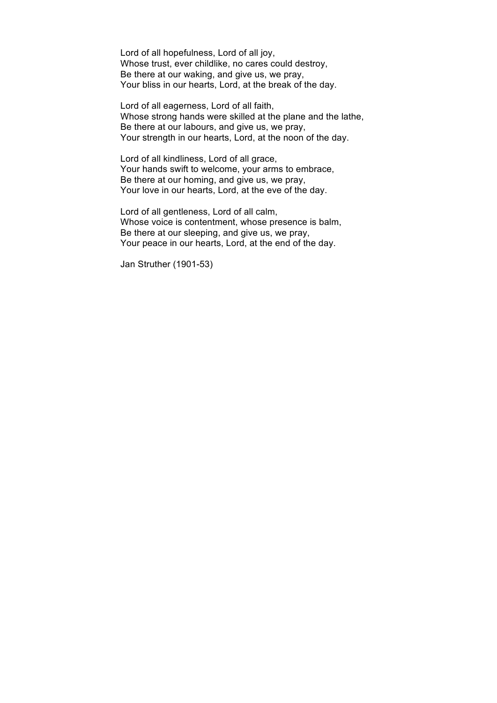Lord of all hopefulness, Lord of all joy, Whose trust, ever childlike, no cares could destroy, Be there at our waking, and give us, we pray, Your bliss in our hearts, Lord, at the break of the day.

Lord of all eagerness, Lord of all faith, Whose strong hands were skilled at the plane and the lathe, Be there at our labours, and give us, we pray, Your strength in our hearts, Lord, at the noon of the day.

Lord of all kindliness, Lord of all grace, Your hands swift to welcome, your arms to embrace, Be there at our homing, and give us, we pray, Your love in our hearts, Lord, at the eve of the day.

Lord of all gentleness, Lord of all calm, Whose voice is contentment, whose presence is balm, Be there at our sleeping, and give us, we pray, Your peace in our hearts, Lord, at the end of the day.

Jan Struther (1901-53)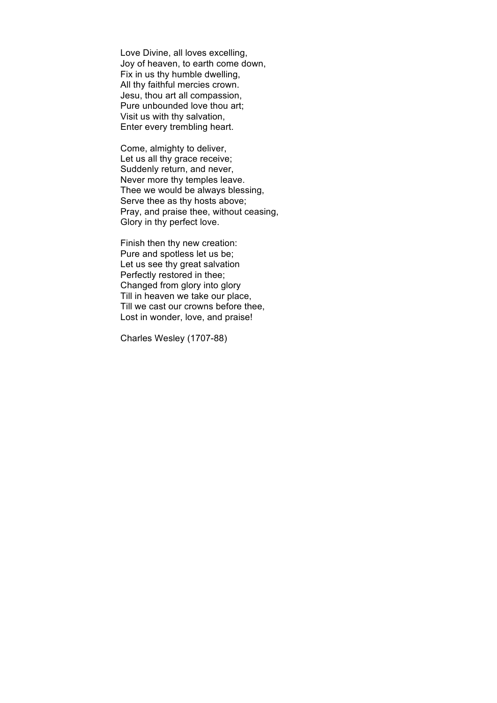Love Divine, all loves excelling, Joy of heaven, to earth come down, Fix in us thy humble dwelling, All thy faithful mercies crown. Jesu, thou art all compassion, Pure unbounded love thou art; Visit us with thy salvation, Enter every trembling heart.

Come, almighty to deliver, Let us all thy grace receive; Suddenly return, and never, Never more thy temples leave. Thee we would be always blessing, Serve thee as thy hosts above; Pray, and praise thee, without ceasing, Glory in thy perfect love.

Finish then thy new creation: Pure and spotless let us be; Let us see thy great salvation Perfectly restored in thee; Changed from glory into glory Till in heaven we take our place, Till we cast our crowns before thee, Lost in wonder, love, and praise!

Charles Wesley (1707-88)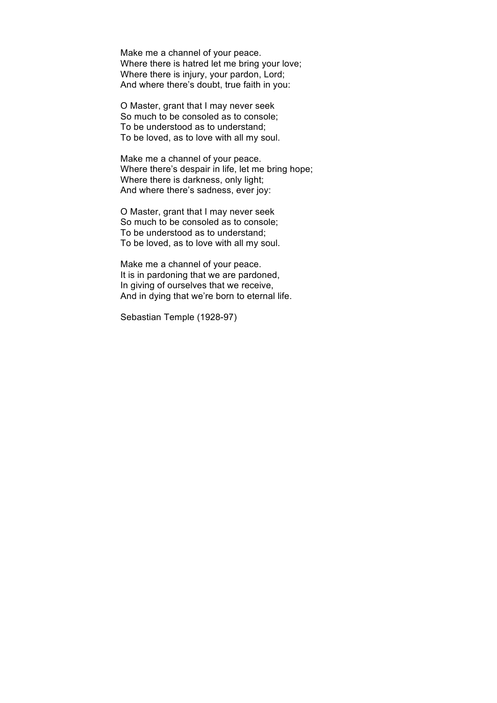Make me a channel of your peace. Where there is hatred let me bring your love; Where there is injury, your pardon, Lord; And where there's doubt, true faith in you:

O Master, grant that I may never seek So much to be consoled as to console; To be understood as to understand; To be loved, as to love with all my soul.

Make me a channel of your peace. Where there's despair in life, let me bring hope; Where there is darkness, only light: And where there's sadness, ever joy:

O Master, grant that I may never seek So much to be consoled as to console; To be understood as to understand; To be loved, as to love with all my soul.

Make me a channel of your peace. It is in pardoning that we are pardoned, In giving of ourselves that we receive, And in dying that we're born to eternal life.

Sebastian Temple (1928-97)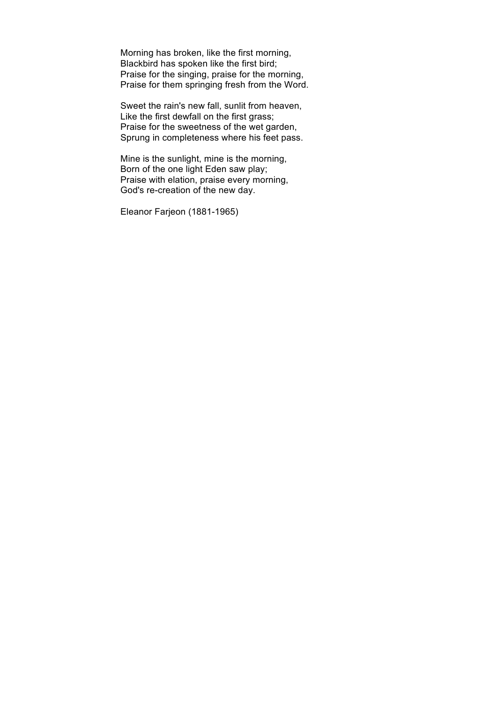Morning has broken, like the first morning, Blackbird has spoken like the first bird; Praise for the singing, praise for the morning, Praise for them springing fresh from the Word.

Sweet the rain's new fall, sunlit from heaven, Like the first dewfall on the first grass; Praise for the sweetness of the wet garden, Sprung in completeness where his feet pass.

Mine is the sunlight, mine is the morning, Born of the one light Eden saw play; Praise with elation, praise every morning, God's re-creation of the new day.

Eleanor Farjeon (1881-1965)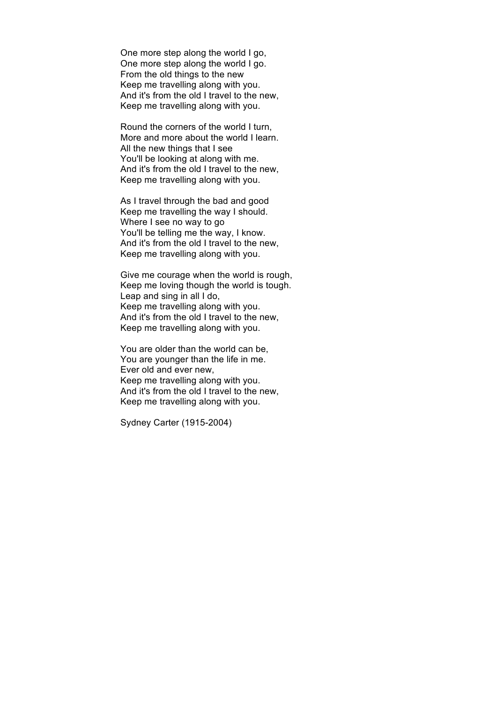One more step along the world I go, One more step along the world I go. From the old things to the new Keep me travelling along with you. And it's from the old I travel to the new, Keep me travelling along with you.

Round the corners of the world I turn, More and more about the world I learn. All the new things that I see You'll be looking at along with me. And it's from the old I travel to the new, Keep me travelling along with you.

As I travel through the bad and good Keep me travelling the way I should. Where I see no way to go You'll be telling me the way, I know. And it's from the old I travel to the new, Keep me travelling along with you.

Give me courage when the world is rough, Keep me loving though the world is tough. Leap and sing in all I do, Keep me travelling along with you. And it's from the old I travel to the new, Keep me travelling along with you.

You are older than the world can be, You are younger than the life in me. Ever old and ever new, Keep me travelling along with you. And it's from the old I travel to the new, Keep me travelling along with you.

Sydney Carter (1915-2004)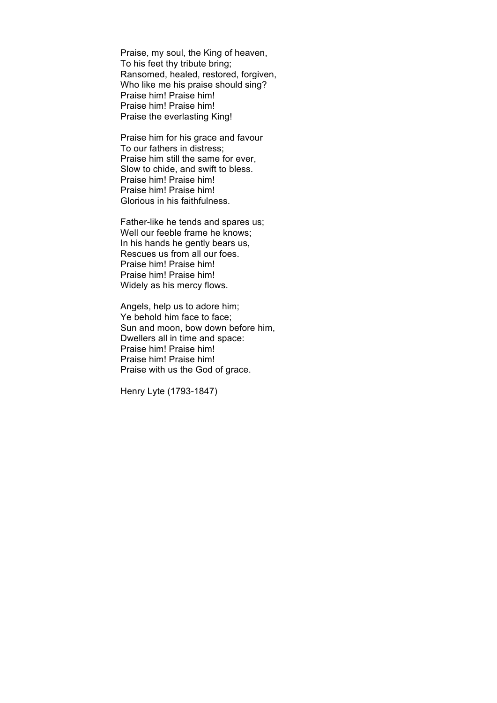Praise, my soul, the King of heaven, To his feet thy tribute bring; Ransomed, healed, restored, forgiven, Who like me his praise should sing? Praise him! Praise him! Praise him! Praise him! Praise the everlasting King!

Praise him for his grace and favour To our fathers in distress; Praise him still the same for ever, Slow to chide, and swift to bless. Praise him! Praise him! Praise him! Praise him! Glorious in his faithfulness.

Father-like he tends and spares us; Well our feeble frame he knows; In his hands he gently bears us, Rescues us from all our foes. Praise him! Praise him! Praise him! Praise him! Widely as his mercy flows.

Angels, help us to adore him; Ye behold him face to face; Sun and moon, bow down before him, Dwellers all in time and space: Praise him! Praise him! Praise him! Praise him! Praise with us the God of grace.

Henry Lyte (1793-1847)